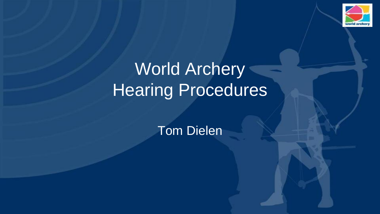

# World Archery Hearing Procedures

Tom Dielen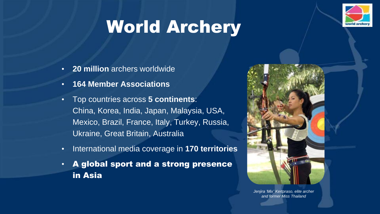

# World Archery

- **20 million** archers worldwide
- **164 Member Associations**
- Top countries across **5 continents**: China, Korea, India, Japan, Malaysia, USA, Mexico, Brazil, France, Italy, Turkey, Russia, Ukraine, Great Britain, Australia
- International media coverage in **170 territories**
- A global sport and a strong presence in Asia



*Jenjira 'Mix' Kertpraso, elite archer and former Miss Thailand*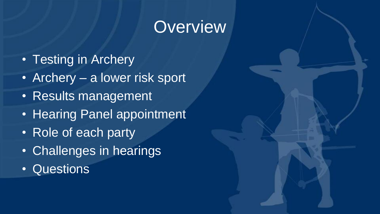## **Overview**

- Testing in Archery
- Archery a lower risk sport
- Results management
- Hearing Panel appointment
- Role of each party
- Challenges in hearings
- Questions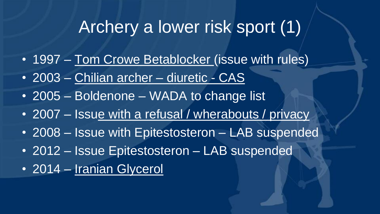## Archery a lower risk sport (1)

- 1997 Tom Crowe Betablocker (issue with rules)
- 2003 Chilian archer diuretic CAS
- 2005 Boldenone WADA to change list
- 2007 Issue with a refusal / wherabouts / privacy
- 2008 Issue with Epitestosteron LAB suspended
- 2012 Issue Epitestosteron LAB suspended
- 2014 Iranian Glycerol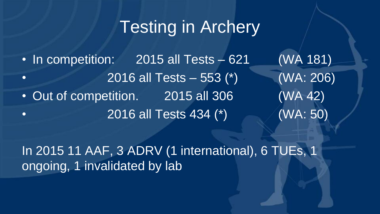# Testing in Archery

• In competition: 2015 all Tests – 621 (WA 181) • 2016 all Tests – 553 (\*) (WA: 206) • Out of competition. 2015 all 306 (WA 42) • 2016 all Tests 434 (\*) (WA: 50)

In 2015 11 AAF, 3 ADRV (1 international), 6 TUEs, 1 ongoing, 1 invalidated by lab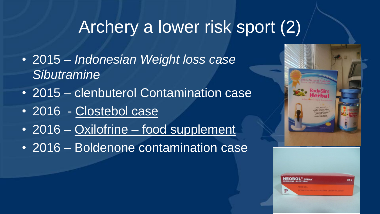# Archery a lower risk sport (2)

- 2015 *Indonesian Weight loss case Sibutramine*
- 2015 clenbuterol Contamination case
- 2016 Clostebol case
- 2016 Oxilofrine food supplement
- 2016 Boldenone contamination case



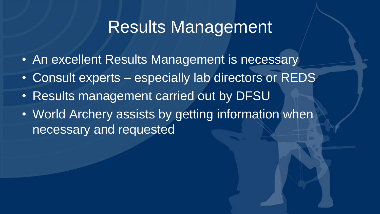#### Results Management

- An excellent Results Management is necessary
- Consult experts especially lab directors or REDS
- Results management carried out by DFSU
- World Archery assists by getting information when necessary and requested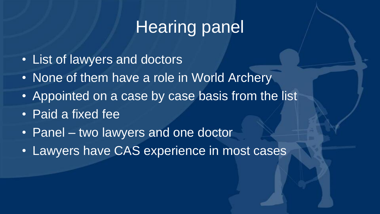# Hearing panel

- List of lawyers and doctors
- None of them have a role in World Archery
- Appointed on a case by case basis from the list
- Paid a fixed fee
- Panel two lawyers and one doctor
- Lawyers have CAS experience in most cases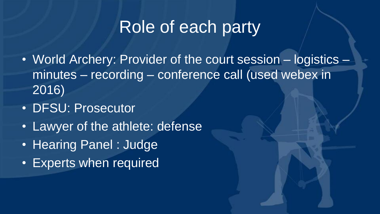### Role of each party

- World Archery: Provider of the court session logistics minutes – recording – conference call (used webex in 2016)
- DFSU: Prosecutor
- Lawyer of the athlete: defense
- Hearing Panel : Judge
- Experts when required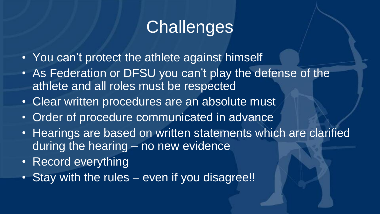# **Challenges**

- You can't protect the athlete against himself
- As Federation or DFSU you can't play the defense of the athlete and all roles must be respected
- Clear written procedures are an absolute must
- Order of procedure communicated in advance
- Hearings are based on written statements which are clarified during the hearing – no new evidence
- Record everything
- Stay with the rules even if you disagree!!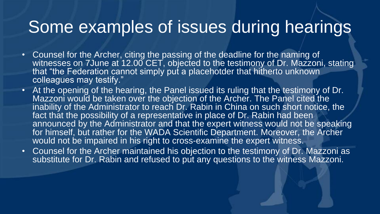#### Some examples of issues during hearings

- Counsel for the Archer, citing the passing of the deadline for the naming of witnesses on 7June at 12.00 CET, objected to the testimony of Dr. Mazzoni, stating that "the Federation cannot simply put a placehotder that hitherto unknown colleagues may testify."
- At the opening of the hearing, the Panel issued its ruling that the testimony of Dr. Mazzoni would be taken over the objection of the Archer. The Panel cited the inability of the Administrator to reach Dr. Rabin in China on such short notice, the fact that the possibility of a representative in place of Dr. Rabin had been announced by the Administrator and that the expert witness would not be speaking for himself, but rather for the WADA Scientific Department. Moreover, the Archer would not be impaired in his right to cross-examine the expert witness.
- Counsel for the Archer maintained his objection to the testimony of Dr. Mazzoni as substitute for Dr. Rabin and refused to put any questions to the witness Mazzoni.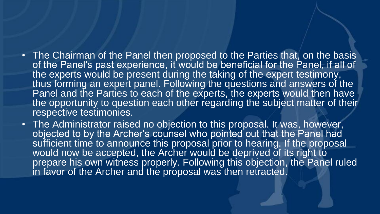- The Chairman of the Panel then proposed to the Parties that, on the basis of the Panel's past experience, it would be beneficial for the Panel, if all of the experts would be present during the taking of the expert testimony, thus forming an expert panel. Following the questions and answers of the Panel and the Parties to each of the experts, the experts would then have the opportunity to question each other regarding the subject matter of their respective testimonies.
- The Administrator raised no objection to this proposal. It was, however, objected to by the Archer's counsel who pointed out that the Panel had sufficient time to announce this proposal prior to hearing. If the proposal would now be accepted, the Archer would be deprived of its right to prepare his own witness properly. Following this objection, the Panel ruled in favor of the Archer and the proposal was then retracted.